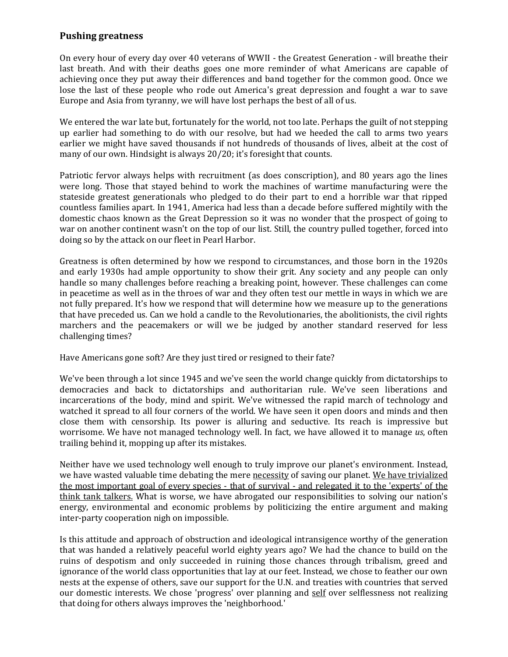## **Pushing greatness**

On every hour of every day over 40 veterans of WWII - the Greatest Generation - will breathe their last breath. And with their deaths goes one more reminder of what Americans are capable of achieving once they put away their differences and band together for the common good. Once we lose the last of these people who rode out America's great depression and fought a war to save Europe and Asia from tyranny, we will have lost perhaps the best of all of us.

We entered the war late but, fortunately for the world, not too late. Perhaps the guilt of not stepping up earlier had something to do with our resolve, but had we heeded the call to arms two years earlier we might have saved thousands if not hundreds of thousands of lives, albeit at the cost of many of our own. Hindsight is always 20/20; it's foresight that counts.

Patriotic fervor always helps with recruitment (as does conscription), and 80 years ago the lines were long. Those that stayed behind to work the machines of wartime manufacturing were the stateside greatest generationals who pledged to do their part to end a horrible war that ripped countless families apart. In 1941, America had less than a decade before suffered mightily with the domestic chaos known as the Great Depression so it was no wonder that the prospect of going to war on another continent wasn't on the top of our list. Still, the country pulled together, forced into doing so by the attack on our fleet in Pearl Harbor.

Greatness is often determined by how we respond to circumstances, and those born in the 1920s and early 1930s had ample opportunity to show their grit. Any society and any people can only handle so many challenges before reaching a breaking point, however. These challenges can come in peacetime as well as in the throes of war and they often test our mettle in ways in which we are not fully prepared. It's how we respond that will determine how we measure up to the generations that have preceded us. Can we hold a candle to the Revolutionaries, the abolitionists, the civil rights marchers and the peacemakers or will we be judged by another standard reserved for less challenging times?

Have Americans gone soft? Are they just tired or resigned to their fate?

We've been through a lot since 1945 and we've seen the world change quickly from dictatorships to democracies and back to dictatorships and authoritarian rule. We've seen liberations and incarcerations of the body, mind and spirit. We've witnessed the rapid march of technology and watched it spread to all four corners of the world. We have seen it open doors and minds and then close them with censorship. Its power is alluring and seductive. Its reach is impressive but worrisome. We have not managed technology well. In fact, we have allowed it to manage *us*, often trailing behind it, mopping up after its mistakes.

Neither have we used technology well enough to truly improve our planet's environment. Instead, we have wasted valuable time debating the mere necessity of saving our planet. We have trivialized the most important goal of every species - that of survival - and relegated it to the 'experts' of the think tank talkers. What is worse, we have abrogated our responsibilities to solving our nation's energy, environmental and economic problems by politicizing the entire argument and making inter-party cooperation nigh on impossible.

Is this attitude and approach of obstruction and ideological intransigence worthy of the generation that was handed a relatively peaceful world eighty years ago? We had the chance to build on the ruins of despotism and only succeeded in ruining those chances through tribalism, greed and ignorance of the world class opportunities that lay at our feet. Instead, we chose to feather our own nests at the expense of others, save our support for the U.N. and treaties with countries that served our domestic interests. We chose 'progress' over planning and self over selflessness not realizing that doing for others always improves the 'neighborhood.'